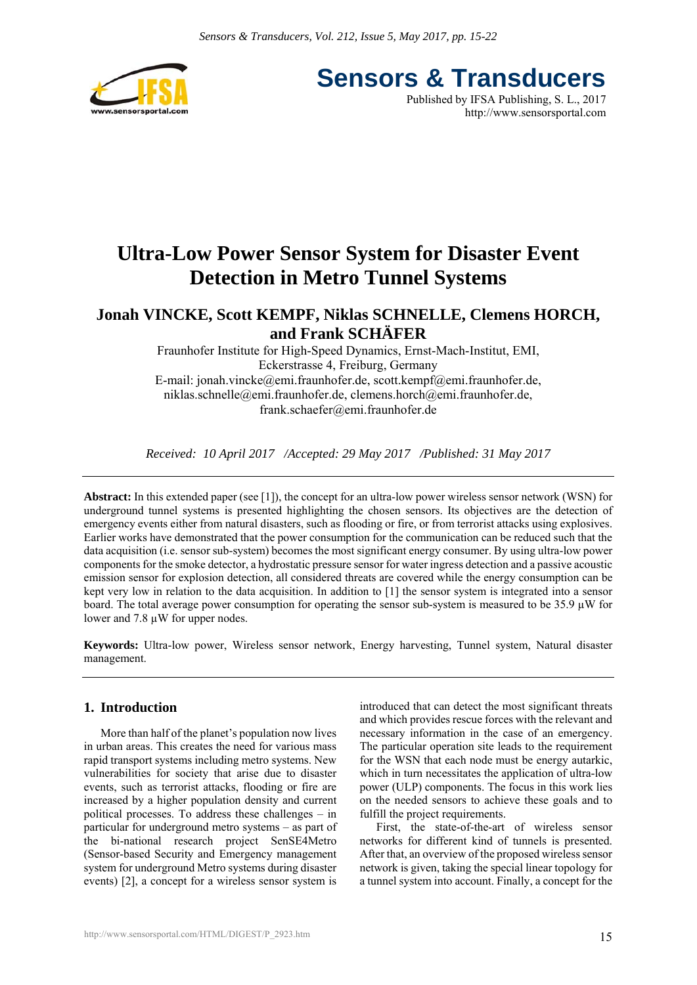

**Sensors & Transducers** Published by IFSA Publishing, S. L., 2017

http://www.sensorsportal.com

## **Ultra-Low Power Sensor System for Disaster Event Detection in Metro Tunnel Systems**

### **Jonah VINCKE, Scott KEMPF, Niklas SCHNELLE, Clemens HORCH, and Frank SCHÄFER**

Fraunhofer Institute for High-Speed Dynamics, Ernst-Mach-Institut, EMI, Eckerstrasse 4, Freiburg, Germany E-mail: jonah.vincke@emi.fraunhofer.de, scott.kempf@emi.fraunhofer.de, niklas.schnelle@emi.fraunhofer.de, clemens.horch@emi.fraunhofer.de, frank.schaefer@emi.fraunhofer.de

*Received: 10 April 2017 /Accepted: 29 May 2017 /Published: 31 May 2017* 

**Abstract:** In this extended paper (see [1]), the concept for an ultra-low power wireless sensor network (WSN) for underground tunnel systems is presented highlighting the chosen sensors. Its objectives are the detection of emergency events either from natural disasters, such as flooding or fire, or from terrorist attacks using explosives. Earlier works have demonstrated that the power consumption for the communication can be reduced such that the data acquisition (i.e. sensor sub-system) becomes the most significant energy consumer. By using ultra-low power components for the smoke detector, a hydrostatic pressure sensor for water ingress detection and a passive acoustic emission sensor for explosion detection, all considered threats are covered while the energy consumption can be kept very low in relation to the data acquisition. In addition to [1] the sensor system is integrated into a sensor board. The total average power consumption for operating the sensor sub-system is measured to be  $35.9 \mu W$  for lower and 7.8 µW for upper nodes.

**Keywords:** Ultra-low power, Wireless sensor network, Energy harvesting, Tunnel system, Natural disaster management.

#### **1. Introduction**

More than half of the planet's population now lives in urban areas. This creates the need for various mass rapid transport systems including metro systems. New vulnerabilities for society that arise due to disaster events, such as terrorist attacks, flooding or fire are increased by a higher population density and current political processes. To address these challenges – in particular for underground metro systems – as part of the bi-national research project SenSE4Metro (Sensor-based Security and Emergency management system for underground Metro systems during disaster events) [2], a concept for a wireless sensor system is introduced that can detect the most significant threats and which provides rescue forces with the relevant and necessary information in the case of an emergency. The particular operation site leads to the requirement for the WSN that each node must be energy autarkic, which in turn necessitates the application of ultra-low power (ULP) components. The focus in this work lies on the needed sensors to achieve these goals and to fulfill the project requirements.

First, the state-of-the-art of wireless sensor networks for different kind of tunnels is presented. After that, an overview of the proposed wireless sensor network is given, taking the special linear topology for a tunnel system into account. Finally, a concept for the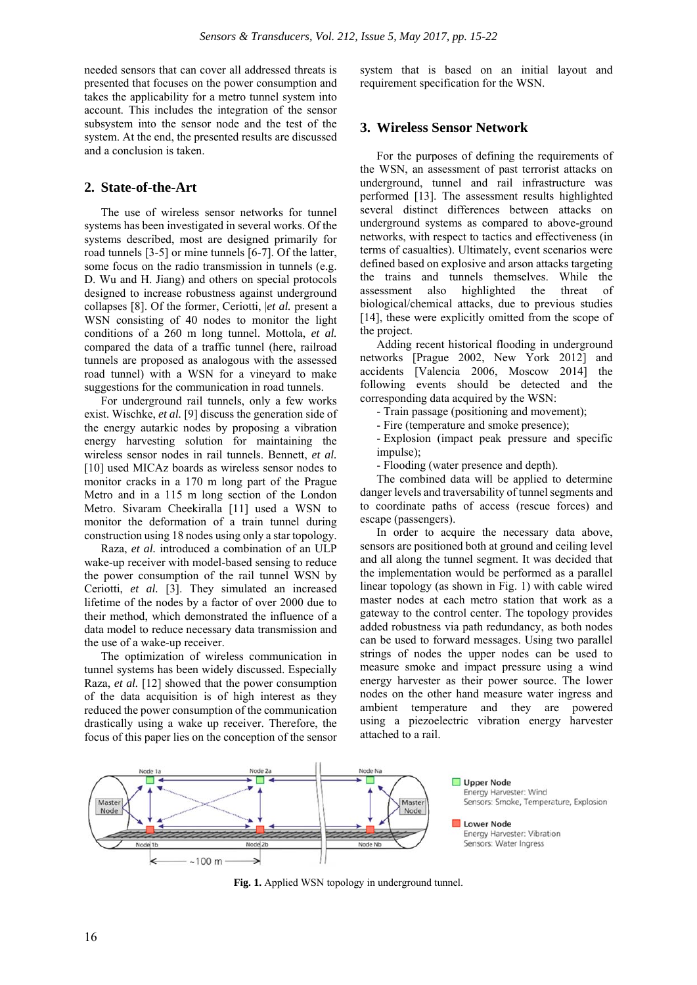needed sensors that can cover all addressed threats is presented that focuses on the power consumption and takes the applicability for a metro tunnel system into account. This includes the integration of the sensor subsystem into the sensor node and the test of the system. At the end, the presented results are discussed and a conclusion is taken.

#### **2. State-of-the-Art**

The use of wireless sensor networks for tunnel systems has been investigated in several works. Of the systems described, most are designed primarily for road tunnels [3-5] or mine tunnels [6-7]. Of the latter, some focus on the radio transmission in tunnels (e.g. D. Wu and H. Jiang) and others on special protocols designed to increase robustness against underground collapses [8]. Of the former, Ceriotti, |*et al.* present a WSN consisting of 40 nodes to monitor the light conditions of a 260 m long tunnel. Mottola, *et al.* compared the data of a traffic tunnel (here, railroad tunnels are proposed as analogous with the assessed road tunnel) with a WSN for a vineyard to make suggestions for the communication in road tunnels.

For underground rail tunnels, only a few works exist. Wischke, *et al.* [9] discuss the generation side of the energy autarkic nodes by proposing a vibration energy harvesting solution for maintaining the wireless sensor nodes in rail tunnels. Bennett, *et al.* [10] used MICAz boards as wireless sensor nodes to monitor cracks in a 170 m long part of the Prague Metro and in a 115 m long section of the London Metro. Sivaram Cheekiralla [11] used a WSN to monitor the deformation of a train tunnel during construction using 18 nodes using only a star topology.

Raza, *et al.* introduced a combination of an ULP wake-up receiver with model-based sensing to reduce the power consumption of the rail tunnel WSN by Ceriotti, *et al.* [3]. They simulated an increased lifetime of the nodes by a factor of over 2000 due to their method, which demonstrated the influence of a data model to reduce necessary data transmission and the use of a wake-up receiver.

The optimization of wireless communication in tunnel systems has been widely discussed. Especially Raza, *et al.* [12] showed that the power consumption of the data acquisition is of high interest as they reduced the power consumption of the communication drastically using a wake up receiver. Therefore, the focus of this paper lies on the conception of the sensor

system that is based on an initial layout and requirement specification for the WSN.

#### **3. Wireless Sensor Network**

For the purposes of defining the requirements of the WSN, an assessment of past terrorist attacks on underground, tunnel and rail infrastructure was performed [13]. The assessment results highlighted several distinct differences between attacks on underground systems as compared to above-ground networks, with respect to tactics and effectiveness (in terms of casualties). Ultimately, event scenarios were defined based on explosive and arson attacks targeting the trains and tunnels themselves. While the assessment also highlighted the threat of biological/chemical attacks, due to previous studies [14], these were explicitly omitted from the scope of the project.

Adding recent historical flooding in underground networks [Prague 2002, New York 2012] and accidents [Valencia 2006, Moscow 2014] the following events should be detected and the corresponding data acquired by the WSN:

- Train passage (positioning and movement);

- Fire (temperature and smoke presence);

- Explosion (impact peak pressure and specific impulse);

- Flooding (water presence and depth).

The combined data will be applied to determine danger levels and traversability of tunnel segments and to coordinate paths of access (rescue forces) and escape (passengers).

In order to acquire the necessary data above, sensors are positioned both at ground and ceiling level and all along the tunnel segment. It was decided that the implementation would be performed as a parallel linear topology (as shown in Fig. 1) with cable wired master nodes at each metro station that work as a gateway to the control center. The topology provides added robustness via path redundancy, as both nodes can be used to forward messages. Using two parallel strings of nodes the upper nodes can be used to measure smoke and impact pressure using a wind energy harvester as their power source. The lower nodes on the other hand measure water ingress and ambient temperature and they are powered using a piezoelectric vibration energy harvester attached to a rail.



**Fig. 1.** Applied WSN topology in underground tunnel.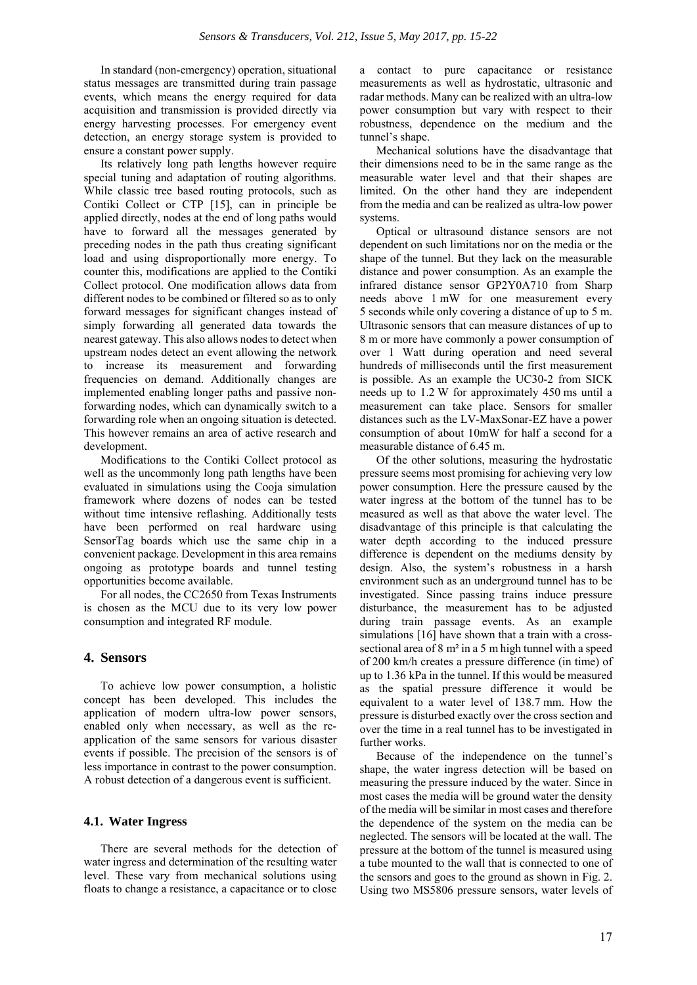In standard (non-emergency) operation, situational status messages are transmitted during train passage events, which means the energy required for data acquisition and transmission is provided directly via energy harvesting processes. For emergency event detection, an energy storage system is provided to ensure a constant power supply.

Its relatively long path lengths however require special tuning and adaptation of routing algorithms. While classic tree based routing protocols, such as Contiki Collect or CTP [15], can in principle be applied directly, nodes at the end of long paths would have to forward all the messages generated by preceding nodes in the path thus creating significant load and using disproportionally more energy. To counter this, modifications are applied to the Contiki Collect protocol. One modification allows data from different nodes to be combined or filtered so as to only forward messages for significant changes instead of simply forwarding all generated data towards the nearest gateway. This also allows nodes to detect when upstream nodes detect an event allowing the network to increase its measurement and forwarding frequencies on demand. Additionally changes are implemented enabling longer paths and passive nonforwarding nodes, which can dynamically switch to a forwarding role when an ongoing situation is detected. This however remains an area of active research and development.

Modifications to the Contiki Collect protocol as well as the uncommonly long path lengths have been evaluated in simulations using the Cooja simulation framework where dozens of nodes can be tested without time intensive reflashing. Additionally tests have been performed on real hardware using SensorTag boards which use the same chip in a convenient package. Development in this area remains ongoing as prototype boards and tunnel testing opportunities become available.

For all nodes, the CC2650 from Texas Instruments is chosen as the MCU due to its very low power consumption and integrated RF module.

#### **4. Sensors**

To achieve low power consumption, a holistic concept has been developed. This includes the application of modern ultra-low power sensors, enabled only when necessary, as well as the reapplication of the same sensors for various disaster events if possible. The precision of the sensors is of less importance in contrast to the power consumption. A robust detection of a dangerous event is sufficient.

#### **4.1. Water Ingress**

There are several methods for the detection of water ingress and determination of the resulting water level. These vary from mechanical solutions using floats to change a resistance, a capacitance or to close

a contact to pure capacitance or resistance measurements as well as hydrostatic, ultrasonic and radar methods. Many can be realized with an ultra-low power consumption but vary with respect to their robustness, dependence on the medium and the tunnel's shape.

Mechanical solutions have the disadvantage that their dimensions need to be in the same range as the measurable water level and that their shapes are limited. On the other hand they are independent from the media and can be realized as ultra-low power systems.

Optical or ultrasound distance sensors are not dependent on such limitations nor on the media or the shape of the tunnel. But they lack on the measurable distance and power consumption. As an example the infrared distance sensor GP2Y0A710 from Sharp needs above 1 mW for one measurement every 5 seconds while only covering a distance of up to 5 m. Ultrasonic sensors that can measure distances of up to 8 m or more have commonly a power consumption of over 1 Watt during operation and need several hundreds of milliseconds until the first measurement is possible. As an example the UC30-2 from SICK needs up to 1.2 W for approximately 450 ms until a measurement can take place. Sensors for smaller distances such as the LV-MaxSonar-EZ have a power consumption of about 10mW for half a second for a measurable distance of 6.45 m.

Of the other solutions, measuring the hydrostatic pressure seems most promising for achieving very low power consumption. Here the pressure caused by the water ingress at the bottom of the tunnel has to be measured as well as that above the water level. The disadvantage of this principle is that calculating the water depth according to the induced pressure difference is dependent on the mediums density by design. Also, the system's robustness in a harsh environment such as an underground tunnel has to be investigated. Since passing trains induce pressure disturbance, the measurement has to be adjusted during train passage events. As an example simulations [16] have shown that a train with a crosssectional area of 8 m² in a 5 m high tunnel with a speed of 200 km/h creates a pressure difference (in time) of up to 1.36 kPa in the tunnel. If this would be measured as the spatial pressure difference it would be equivalent to a water level of 138.7 mm. How the pressure is disturbed exactly over the cross section and over the time in a real tunnel has to be investigated in further works.

Because of the independence on the tunnel's shape, the water ingress detection will be based on measuring the pressure induced by the water. Since in most cases the media will be ground water the density of the media will be similar in most cases and therefore the dependence of the system on the media can be neglected. The sensors will be located at the wall. The pressure at the bottom of the tunnel is measured using a tube mounted to the wall that is connected to one of the sensors and goes to the ground as shown in Fig. 2. Using two MS5806 pressure sensors, water levels of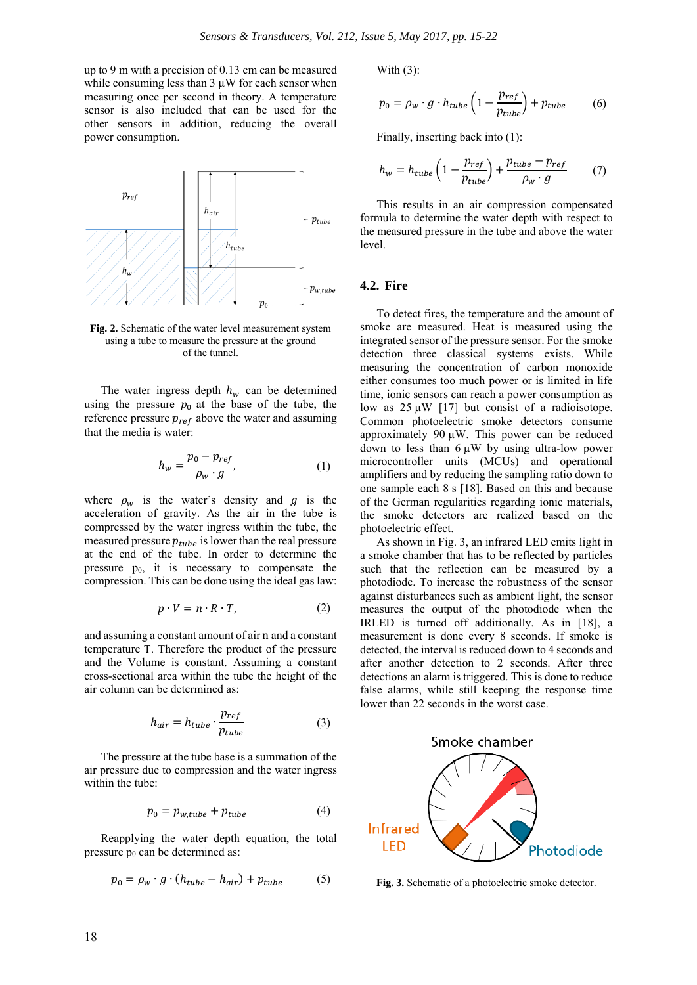up to 9 m with a precision of 0.13 cm can be measured while consuming less than  $3 \mu W$  for each sensor when measuring once per second in theory. A temperature sensor is also included that can be used for the other sensors in addition, reducing the overall power consumption.



**Fig. 2.** Schematic of the water level measurement system using a tube to measure the pressure at the ground of the tunnel.

The water ingress depth  $h_w$  can be determined using the pressure  $p_0$  at the base of the tube, the reference pressure  $p_{ref}$  above the water and assuming that the media is water:

$$
h_w = \frac{p_0 - p_{ref}}{\rho_w \cdot g},\tag{1}
$$

where  $\rho_w$  is the water's density and g is the acceleration of gravity. As the air in the tube is compressed by the water ingress within the tube, the measured pressure  $p_{tube}$  is lower than the real pressure at the end of the tube. In order to determine the pressure  $p_0$ , it is necessary to compensate the compression. This can be done using the ideal gas law:

$$
p \cdot V = n \cdot R \cdot T,\tag{2}
$$

and assuming a constant amount of air n and a constant temperature T. Therefore the product of the pressure and the Volume is constant. Assuming a constant cross-sectional area within the tube the height of the air column can be determined as:

$$
h_{air} = h_{tube} \cdot \frac{p_{ref}}{p_{tube}}
$$
 (3)

The pressure at the tube base is a summation of the air pressure due to compression and the water ingress within the tube:

$$
p_0 = p_{w, tube} + p_{tube} \tag{4}
$$

Reapplying the water depth equation, the total pressure  $p_0$  can be determined as:

$$
p_0 = \rho_w \cdot g \cdot (h_{tube} - h_{air}) + p_{tube} \tag{5}
$$

With (3):

$$
p_0 = \rho_w \cdot g \cdot h_{tube} \left( 1 - \frac{p_{ref}}{p_{tube}} \right) + p_{tube} \tag{6}
$$

Finally, inserting back into (1):

$$
h_w = h_{tube} \left( 1 - \frac{p_{ref}}{p_{tube}} \right) + \frac{p_{tube} - p_{ref}}{\rho_w \cdot g} \tag{7}
$$

This results in an air compression compensated formula to determine the water depth with respect to the measured pressure in the tube and above the water level.

#### **4.2. Fire**

To detect fires, the temperature and the amount of smoke are measured. Heat is measured using the integrated sensor of the pressure sensor. For the smoke detection three classical systems exists. While measuring the concentration of carbon monoxide either consumes too much power or is limited in life time, ionic sensors can reach a power consumption as low as  $25 \mu W$  [17] but consist of a radioisotope. Common photoelectric smoke detectors consume approximately 90  $\mu$ W. This power can be reduced down to less than  $6 \mu W$  by using ultra-low power microcontroller units (MCUs) and operational amplifiers and by reducing the sampling ratio down to one sample each 8 s [18]. Based on this and because of the German regularities regarding ionic materials, the smoke detectors are realized based on the photoelectric effect.

As shown in Fig. 3, an infrared LED emits light in a smoke chamber that has to be reflected by particles such that the reflection can be measured by a photodiode. To increase the robustness of the sensor against disturbances such as ambient light, the sensor measures the output of the photodiode when the IRLED is turned off additionally. As in [18], a measurement is done every 8 seconds. If smoke is detected, the interval is reduced down to 4 seconds and after another detection to 2 seconds. After three detections an alarm is triggered. This is done to reduce false alarms, while still keeping the response time lower than 22 seconds in the worst case.



**Fig. 3.** Schematic of a photoelectric smoke detector.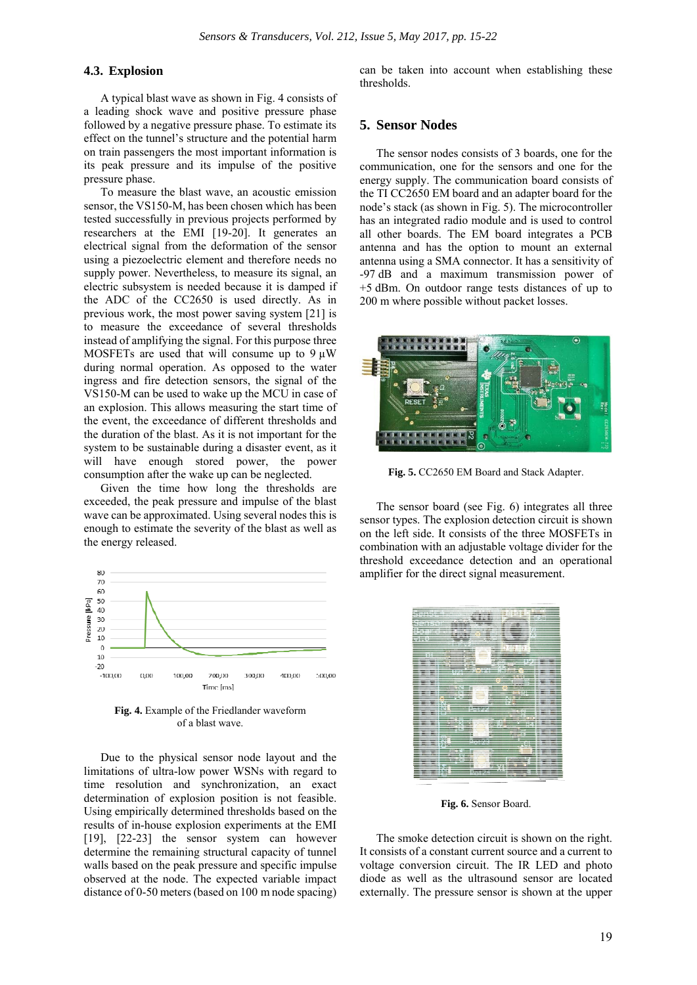#### **4.3. Explosion**

A typical blast wave as shown in Fig. 4 consists of a leading shock wave and positive pressure phase followed by a negative pressure phase. To estimate its effect on the tunnel's structure and the potential harm on train passengers the most important information is its peak pressure and its impulse of the positive pressure phase.

To measure the blast wave, an acoustic emission sensor, the VS150-M, has been chosen which has been tested successfully in previous projects performed by researchers at the EMI [19-20]. It generates an electrical signal from the deformation of the sensor using a piezoelectric element and therefore needs no supply power. Nevertheless, to measure its signal, an electric subsystem is needed because it is damped if the ADC of the CC2650 is used directly. As in previous work, the most power saving system [21] is to measure the exceedance of several thresholds instead of amplifying the signal. For this purpose three MOSFETs are used that will consume up to  $9 \mu W$ during normal operation. As opposed to the water ingress and fire detection sensors, the signal of the VS150-M can be used to wake up the MCU in case of an explosion. This allows measuring the start time of the event, the exceedance of different thresholds and the duration of the blast. As it is not important for the system to be sustainable during a disaster event, as it will have enough stored power, the power consumption after the wake up can be neglected.

Given the time how long the thresholds are exceeded, the peak pressure and impulse of the blast wave can be approximated. Using several nodes this is enough to estimate the severity of the blast as well as the energy released.



**Fig. 4.** Example of the Friedlander waveform of a blast wave.

Due to the physical sensor node layout and the limitations of ultra-low power WSNs with regard to time resolution and synchronization, an exact determination of explosion position is not feasible. Using empirically determined thresholds based on the results of in-house explosion experiments at the EMI [19], [22-23] the sensor system can however determine the remaining structural capacity of tunnel walls based on the peak pressure and specific impulse observed at the node. The expected variable impact distance of 0-50 meters (based on 100 m node spacing)

can be taken into account when establishing these thresholds.

#### **5. Sensor Nodes**

The sensor nodes consists of 3 boards, one for the communication, one for the sensors and one for the energy supply. The communication board consists of the TI CC2650 EM board and an adapter board for the node's stack (as shown in Fig. 5). The microcontroller has an integrated radio module and is used to control all other boards. The EM board integrates a PCB antenna and has the option to mount an external antenna using a SMA connector. It has a sensitivity of -97 dB and a maximum transmission power of +5 dBm. On outdoor range tests distances of up to 200 m where possible without packet losses.



**Fig. 5.** CC2650 EM Board and Stack Adapter.

The sensor board (see Fig. 6) integrates all three sensor types. The explosion detection circuit is shown on the left side. It consists of the three MOSFETs in combination with an adjustable voltage divider for the threshold exceedance detection and an operational amplifier for the direct signal measurement.



**Fig. 6.** Sensor Board.

The smoke detection circuit is shown on the right. It consists of a constant current source and a current to voltage conversion circuit. The IR LED and photo diode as well as the ultrasound sensor are located externally. The pressure sensor is shown at the upper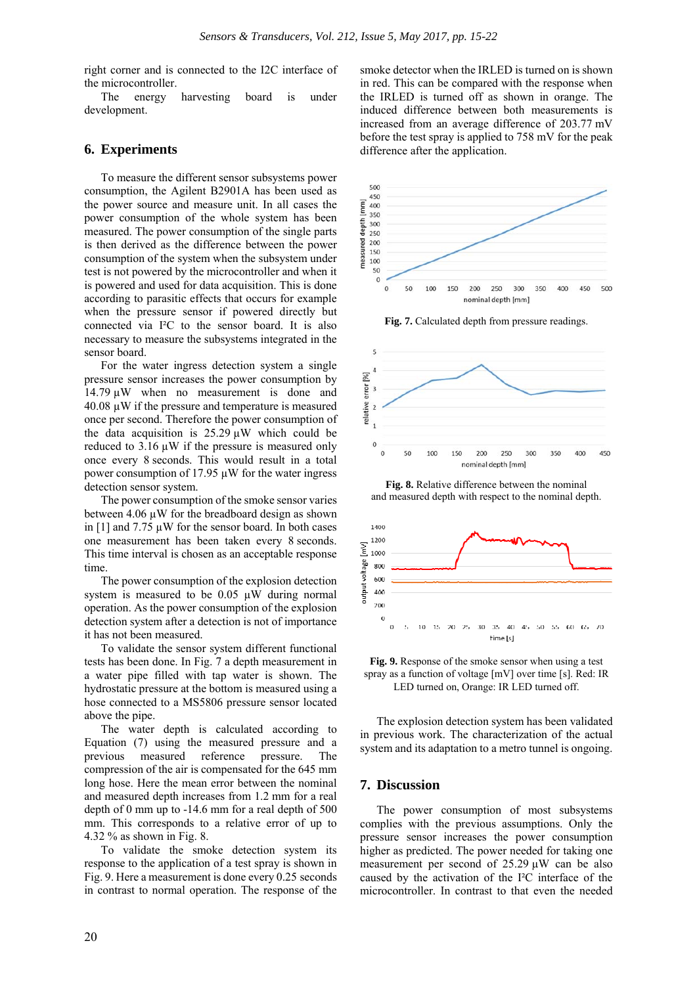right corner and is connected to the I2C interface of the microcontroller.

The energy harvesting board is under development.

#### **6. Experiments**

To measure the different sensor subsystems power consumption, the Agilent B2901A has been used as the power source and measure unit. In all cases the power consumption of the whole system has been measured. The power consumption of the single parts is then derived as the difference between the power consumption of the system when the subsystem under test is not powered by the microcontroller and when it is powered and used for data acquisition. This is done according to parasitic effects that occurs for example when the pressure sensor if powered directly but connected via I²C to the sensor board. It is also necessary to measure the subsystems integrated in the sensor board.

For the water ingress detection system a single pressure sensor increases the power consumption by 14.79 µW when no measurement is done and 40.08 µW if the pressure and temperature is measured once per second. Therefore the power consumption of the data acquisition is  $25.29 \mu W$  which could be reduced to 3.16 µW if the pressure is measured only once every 8 seconds. This would result in a total power consumption of 17.95 µW for the water ingress detection sensor system.

The power consumption of the smoke sensor varies between 4.06  $\mu$ W for the breadboard design as shown in [1] and  $7.75 \mu$ W for the sensor board. In both cases one measurement has been taken every 8 seconds. This time interval is chosen as an acceptable response time

The power consumption of the explosion detection system is measured to be  $0.05 \mu W$  during normal operation. As the power consumption of the explosion detection system after a detection is not of importance it has not been measured.

To validate the sensor system different functional tests has been done. In Fig. 7 a depth measurement in a water pipe filled with tap water is shown. The hydrostatic pressure at the bottom is measured using a hose connected to a MS5806 pressure sensor located above the pipe.

The water depth is calculated according to Equation (7) using the measured pressure and a previous measured reference pressure. The compression of the air is compensated for the 645 mm long hose. Here the mean error between the nominal and measured depth increases from 1.2 mm for a real depth of 0 mm up to -14.6 mm for a real depth of 500 mm. This corresponds to a relative error of up to 4.32 % as shown in Fig. 8.

To validate the smoke detection system its response to the application of a test spray is shown in Fig. 9. Here a measurement is done every 0.25 seconds in contrast to normal operation. The response of the

smoke detector when the IRLED is turned on is shown in red. This can be compared with the response when the IRLED is turned off as shown in orange. The induced difference between both measurements is increased from an average difference of 203.77 mV before the test spray is applied to 758 mV for the peak difference after the application.



**Fig. 7.** Calculated depth from pressure readings.



**Fig. 8.** Relative difference between the nominal and measured depth with respect to the nominal depth.



**Fig. 9.** Response of the smoke sensor when using a test spray as a function of voltage [mV] over time [s]. Red: IR LED turned on, Orange: IR LED turned off.

The explosion detection system has been validated in previous work. The characterization of the actual system and its adaptation to a metro tunnel is ongoing.

#### **7. Discussion**

The power consumption of most subsystems complies with the previous assumptions. Only the pressure sensor increases the power consumption higher as predicted. The power needed for taking one measurement per second of 25.29 µW can be also caused by the activation of the I²C interface of the microcontroller. In contrast to that even the needed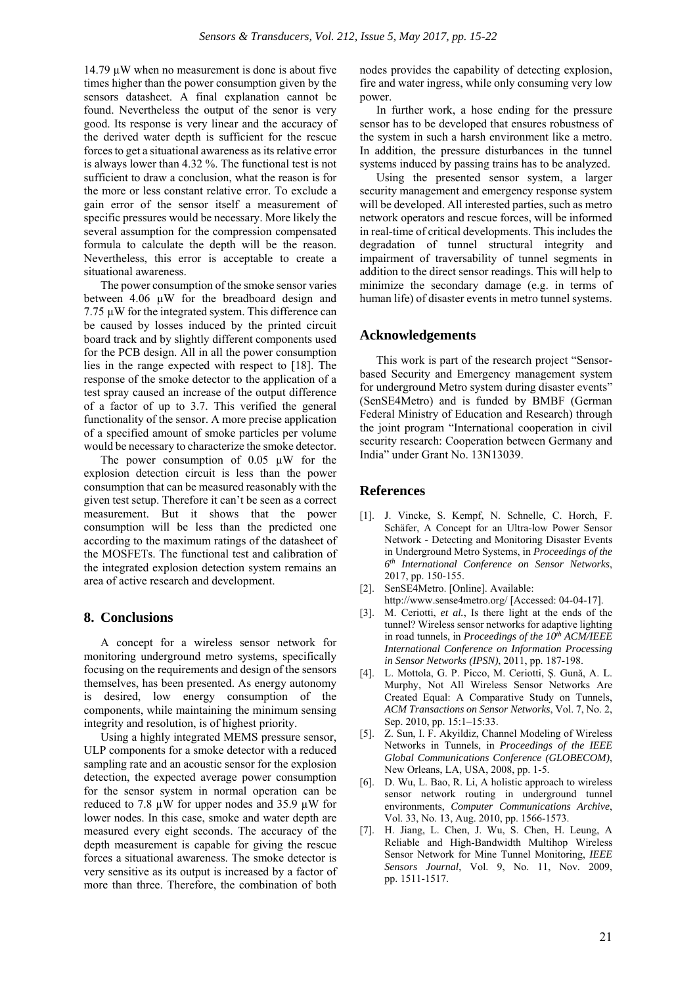14.79  $\mu$ W when no measurement is done is about five times higher than the power consumption given by the sensors datasheet. A final explanation cannot be found. Nevertheless the output of the senor is very good. Its response is very linear and the accuracy of the derived water depth is sufficient for the rescue forces to get a situational awareness as its relative error is always lower than 4.32 %. The functional test is not sufficient to draw a conclusion, what the reason is for the more or less constant relative error. To exclude a gain error of the sensor itself a measurement of specific pressures would be necessary. More likely the several assumption for the compression compensated formula to calculate the depth will be the reason. Nevertheless, this error is acceptable to create a situational awareness.

The power consumption of the smoke sensor varies between 4.06 µW for the breadboard design and 7.75 µW for the integrated system. This difference can be caused by losses induced by the printed circuit board track and by slightly different components used for the PCB design. All in all the power consumption lies in the range expected with respect to [18]. The response of the smoke detector to the application of a test spray caused an increase of the output difference of a factor of up to 3.7. This verified the general functionality of the sensor. A more precise application of a specified amount of smoke particles per volume would be necessary to characterize the smoke detector.

The power consumption of  $0.05 \mu W$  for the explosion detection circuit is less than the power consumption that can be measured reasonably with the given test setup. Therefore it can't be seen as a correct measurement. But it shows that the power consumption will be less than the predicted one according to the maximum ratings of the datasheet of the MOSFETs. The functional test and calibration of the integrated explosion detection system remains an area of active research and development.

#### **8. Conclusions**

A concept for a wireless sensor network for monitoring underground metro systems, specifically focusing on the requirements and design of the sensors themselves, has been presented. As energy autonomy is desired, low energy consumption of the components, while maintaining the minimum sensing integrity and resolution, is of highest priority.

Using a highly integrated MEMS pressure sensor, ULP components for a smoke detector with a reduced sampling rate and an acoustic sensor for the explosion detection, the expected average power consumption for the sensor system in normal operation can be reduced to 7.8  $\mu$ W for upper nodes and 35.9  $\mu$ W for lower nodes. In this case, smoke and water depth are measured every eight seconds. The accuracy of the depth measurement is capable for giving the rescue forces a situational awareness. The smoke detector is very sensitive as its output is increased by a factor of more than three. Therefore, the combination of both

nodes provides the capability of detecting explosion, fire and water ingress, while only consuming very low power.

In further work, a hose ending for the pressure sensor has to be developed that ensures robustness of the system in such a harsh environment like a metro. In addition, the pressure disturbances in the tunnel systems induced by passing trains has to be analyzed.

Using the presented sensor system, a larger security management and emergency response system will be developed. All interested parties, such as metro network operators and rescue forces, will be informed in real-time of critical developments. This includes the degradation of tunnel structural integrity and impairment of traversability of tunnel segments in addition to the direct sensor readings. This will help to minimize the secondary damage (e.g. in terms of human life) of disaster events in metro tunnel systems.

#### **Acknowledgements**

This work is part of the research project "Sensorbased Security and Emergency management system for underground Metro system during disaster events" (SenSE4Metro) and is funded by BMBF (German Federal Ministry of Education and Research) through the joint program "International cooperation in civil security research: Cooperation between Germany and India" under Grant No. 13N13039.

#### **References**

- [1]. J. Vincke, S. Kempf, N. Schnelle, C. Horch, F. Schäfer, A Concept for an Ultra-low Power Sensor Network - Detecting and Monitoring Disaster Events in Underground Metro Systems, in *Proceedings of the 6th International Conference on Sensor Networks*, 2017, pp. 150-155.
- [2]. SenSE4Metro. [Online]. Available:
- http://www.sense4metro.org/ [Accessed: 04-04-17].
- [3]. M. Ceriotti, *et al.*, Is there light at the ends of the tunnel? Wireless sensor networks for adaptive lighting in road tunnels, in *Proceedings of the 10th ACM/IEEE International Conference on Information Processing in Sensor Networks (IPSN)*, 2011, pp. 187-198.
- [4]. L. Mottola, G. P. Picco, M. Ceriotti, Ş. Gunǎ, A. L. Murphy, Not All Wireless Sensor Networks Are Created Equal: A Comparative Study on Tunnels, *ACM Transactions on Sensor Networks*, Vol. 7, No. 2, Sep. 2010, pp. 15:1–15:33.
- [5]. Z. Sun, I. F. Akyildiz, Channel Modeling of Wireless Networks in Tunnels, in *Proceedings of the IEEE Global Communications Conference (GLOBECOM)*, New Orleans, LA, USA, 2008, pp. 1-5.
- [6]. D. Wu, L. Bao, R. Li, A holistic approach to wireless sensor network routing in underground tunnel environments, *Computer Communications Archive*, Vol. 33, No. 13, Aug. 2010, pp. 1566-1573.
- [7]. H. Jiang, L. Chen, J. Wu, S. Chen, H. Leung, A Reliable and High-Bandwidth Multihop Wireless Sensor Network for Mine Tunnel Monitoring, *IEEE Sensors Journal*, Vol. 9, No. 11, Nov. 2009, pp. 1511-1517.